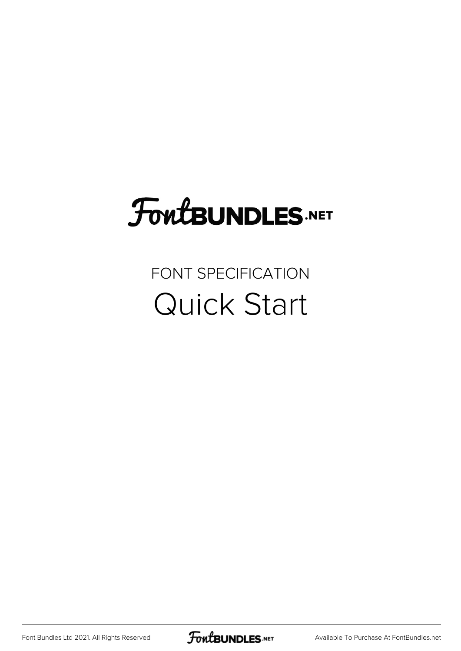# FoutBUNDLES.NET

#### FONT SPECIFICATION Quick Start

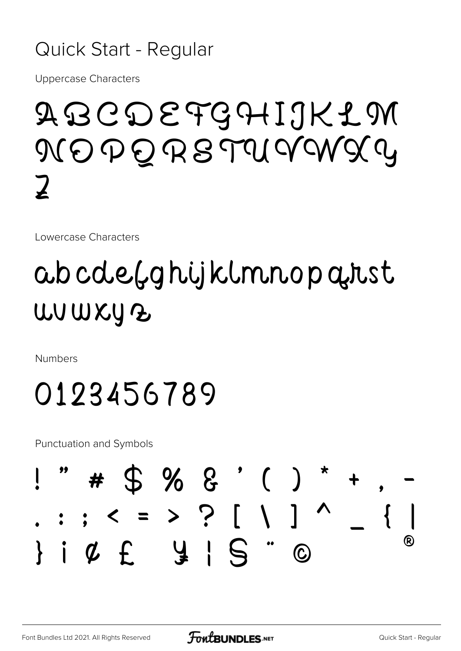#### Quick Start - Regular

**Uppercase Characters** 

## ABCDEFGHIJKLM NOPORSTUVWXY  $\boldsymbol{\mathcal{I}}$

Lowercase Characters

## abcde(ghijklmnopatst WUWKYZ

**Numbers** 

## 0123456789

**Punctuation and Symbols** 

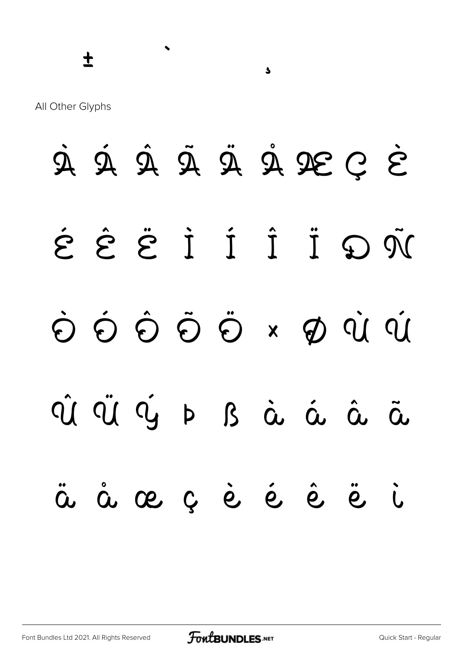$\blacktriangleleft$ 

All Other Glyphs

À Á Â Ã Ã Ä Å Æ C È Î İ Î Î Î Î J D N  $\dot{\Theta} \; \dot{\Theta} \; \dot{\Theta} \; \dot{\Theta} \; \dot{\Theta} \; \dot{\Theta} \; \dot{\Theta} \; \dot{\Theta} \; \dot{\Theta} \; \dot{\Theta} \; \dot{\Theta} \; \dot{\Theta} \; \dot{\Theta} \; \dot{\Theta} \; \dot{\Theta} \; \dot{\Theta} \; \dot{\Theta} \; \dot{\Theta} \; \dot{\Theta} \; \dot{\Theta} \; \dot{\Theta} \; \dot{\Theta} \; \dot{\Theta} \; \dot{\Theta} \; \dot{\Theta} \; \dot{\Theta} \; \dot{\Theta} \; \dot{\Theta} \; \dot{\Theta} \; \dot{\Theta} \; \dot{\Theta} \; \dot{\$ CÛ CỦ Vý Þ B à á â Õ, ä å æ ç è é è ë  $\ddot{L}$ 

 $\blacklozenge$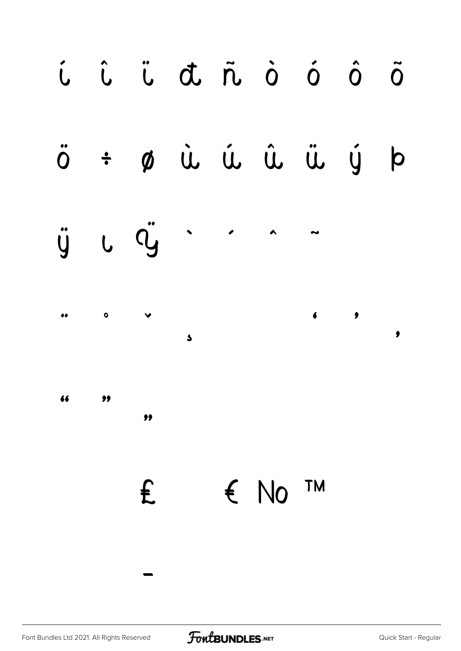